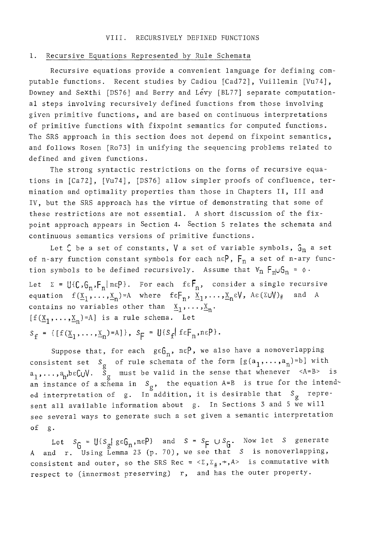#### I. Recursive Equations Represented by Rule Schemata

Recursive equations provide a convenient language for defining computable functions. Recent studies by Cadiou [Cad72], Vuillemin [Vu74], Downey and Sexthi [DS76] and Berry and Levy [BL77] separate computational steps involving recursively defined functions from those involving given primitive functions, and are based on continuous interpretations of primitive functions with fixpoint semantics for computed functions. The SRS approach in this section does not depend on fixpoint semantics, and follows Rosen [Ro73] in unifying the sequencing problems related to defined and given functions.

The strong syntactic restrictions on the forms of recursive equations in [Ca72], [Vu74], [DS76] allow simpler proofs of confluence, termination and optimality properties than those in Chapters If, III and IV, but the SRS approach has the virtue of demonstrating that some of these restrictions are not essential. A short discussion of the fixpoint approach appears in Section 4. Section 5 relates the schemata and continuous semantics versions of primitive functions.

Let  $C$  be a set of constants,  $V$  a set of variable symbols,  $G_n$  a set of n-ary function constant symbols for each n $\varepsilon P$ ,  $F_n$  a set of n-ary function symbols to be defined recursively. Assume that  $V_n$   $F_n \cup G_n$  =  $\phi$ . Let  $\Sigma = \bigcup \{C, G_n, F_n | n \in P\}$ . For each  $f \in F_n$ , consider a single recursive equation  $f(\underline{x}_1, \ldots, \underline{x}_n)$ =A where  $f \in F_n$ ,  $\underline{x}_1, \ldots, \underline{x}_n \in V$ , A $\varepsilon(\Sigma \cup V)_\#$  and A contains no variables other than  $X_1, \ldots, X_n$ .  $[f(\underline{x}_1,\ldots,\underline{x}_n)=A]$  is a rule schema. Let  $S_f = \{[f(\underline{X}_1, \ldots, \underline{X}_n)=A]\}, S_f = \bigcup\{S_f | f \in F_n, n \in P\}.$ 

Suppose that, for each  $g \epsilon G_n$ ,  $n \epsilon P$ , we also have a nonoverlapping consistent set S<sub>g</sub> of rule schemata of the form  $\lfloor g(a_1,\ldots,a_n)^{\pm_D} \rfloor$  with  $a_1,\ldots,a_n$ b $\varepsilon$ CuV. S<sub>g</sub> must be valid in the sense that whenever  $\leq$ A=B> is an instance of a  $x$ hema in  $S_g$ , the equation A=B is true for the intended interpretation of g. In addition, it is desirable that  $S_g$  represent all available information about g. In Sections 3 and 5 we will see several ways to generate such a set given a semantic interpretation of g.

Let  $S_f = \bigcup \{S_g | g \in G_n, n \in \mathbb{Y}\}\$  and  $S = S_F \cup S_G$ . Now let S generate A and r. Using Lemma 23 (p. 70), we see that S is nonoverlapping, consistent and outer, so the SRS Rec =  $\langle \Sigma, \Sigma_{\#}, \rightarrow, A \rangle$  is commutative with respect to (innermost preserving) r, and has the outer property.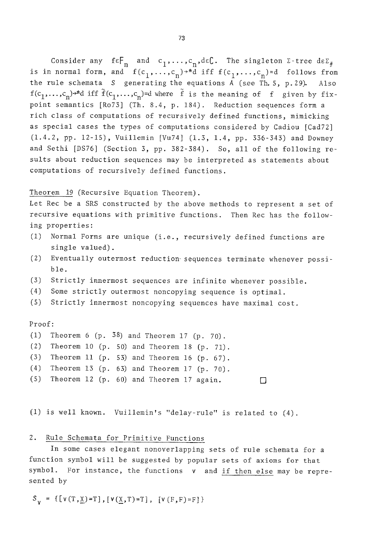Consider any  $\mathfrak{t}\in\mathop{\mathsf{F}}_{\mathbf{n}}^{\mathbf{n}}$  and  $\mathfrak{c}_1,\ldots,\mathfrak{c}_n,\mathfrak{det}.$  The singleton  $\mathfrak{z}\text{-}$ tree d $\mathfrak{e}\mathfrak{z}_\#$ is in normal form, and  $f(c_1, \ldots, c_n) \rightarrow \pi d$  iff  $f(c_1, \ldots, c_n) = d$  follows from the rule schemata S generating the equations  $\overline{A}$  (see Th. 5, p. 29). Also  $f(c_1, \ldots, c_n)$ <sup>\*</sup>d iff  $\tilde{f}(c_1, \ldots, c_n)$ =d where  $\tilde{f}$  is the meaning of f given by fixpoint semantics [Ro73] (Th. 8.4, p. 184). Reduction sequences form a rich class of computations of recursively defined functions, mimicking as special cases the types of computations considered by Cadiou [Cad72] (1.4.2, pp. 12-15), Vuillemin [Vu74] (1.3, 1.4, pp. 336-343) and Downey and Sethi [DS76] (Section 3, pp. 382-384). So, all of the following results about reduction sequences may be interpreted as statements about computations of recursively defined functions.

Theorem 19 (Recursive Equation Theorem).

Let Rec be a SRS constructed by the above methods to represent a set of recursive equations with primitive functions. Then Rec has the following properties:

- (I) Normal Forms are unique (i.e., recursively defined functions are single valued).
- (2) Eventually outermost reduction-sequences terminate whenever possible.
- (3) Strictly innermost sequences are infinite whenever possible.
- (4) Some strictly outermost noncopying sequence is optimal.
- (S) Strictly innermost noncopying sequences have maximal cost.

Proof:

- (1) Theorem 6  $(p. 38)$  and Theorem 17  $(p. 70)$ .
- (2) Theorem i0 (p. 50) and Theorem 18 (p. 71).
- (3) Theorem ii (p. 53) and Theorem 16 (p. 67).
- (4) Theorem 13 (p. 63) and Theorem 17 (p. 70).
- (5) Theorem 12 (p. 60) and Theorem 17 again. **[]**

(I) is well known. Vuillemin's "delay-rule" is related to (4).

# 2. Rule Schemata for Primitive Functions

In some cases elegant nonoverlapping sets of rule schemata for a function symbol will be suggested by popular sets of axioms for that symbol. For instance, the functions v and if then else may be represented by

 $S_{V} = \{[V(T, \underline{X})=T], [V(\underline{X}, T)=T], [V(F, F)=F]\}$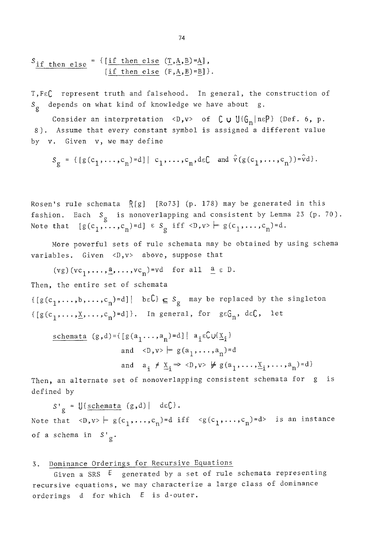$$
S_{\underline{\text{if then else}}} = \{ \underline{\text{if then else } (T, A, B) = A} \},
$$
  

$$
[ \underline{\text{if then else } (F, A, B) = B} ] \}.
$$

T,FEC represent truth and falsehood. In general, the construction of  $\mathrm{S}_{\mathrm{g}}$  depends on what kind of knowledge we have about  $\mathrm{g}_{\mathrm{\star}}$ .

Consider an interpretation  $\langle D, v \rangle$  of  $\bigcup U\{\mathbb{G}_n | n \in P\}$  (Def. 6, p. 8). Assume that every constant symbol is assigned a different value by v. Given v, we may define

$$
S_g = \{ [g(c_1, \ldots, c_n) = d] | c_1, \ldots, c_n, d \in \mathbb{C} \text{ and } \hat{v}(g(c_1, \ldots, c_n)) = \hat{v}d \}.
$$

Rosen's rule schemata  $R[g]$  [Ro73] (p. 178) may be generated in this fashion. Each  $s_{\rm g}$  is nonoverlapping and consistent by Lemma 23 (p. 70). Note that  $[g(c_1, \ldots, c_n)=d] \in S_g$  iff  $\langle D, v \rangle \models g(c_1, \ldots, c_n)=d$ .

More powerful sets of rule schemata may be obtained by using schema variables. Given  $\langle D, v \rangle$  above, suppose that

 $(vg)(vc_1, \ldots, \underline{a}, \ldots, vc_n) = vd$  for all  $\underline{a} \in D$ .

Then, the entire set of schemata

 $\{[g(c_1, \ldots, b, \ldots, c_n)=d]\}$  be  $C \subseteq S_g$  may be replaced by the singleton  $\{[g(c_1, \ldots, \underline{x}, \ldots, c_n)=d]\}.$  In general, for  $g \in G_n$ ,  $d \in \mathbb{C}$ , let

schematic 
$$
(g,d) = \{ [g(a_1 \ldots, a_n) = d] | a_i \in CW(\underline{x}_i)
$$
  
and  $\langle D, v \rangle \models g(a_1, \ldots, a_n) = d$   
and  $a_i \neq \underline{x}_i \Rightarrow \langle D, v \rangle \not\models g(a_1, \ldots, \underline{x}_i, \ldots, a_n) = d \}$ 

Then, an alternate set of nonoverlapping consistent schemata for g is defined by

 $S'_{g} = \bigcup \{ \underline{\text{schemata}} \ (g,d) \mid \ d \in \mathbb{C} \}.$ Note that  $\langle D, v \rangle \models g(c_1, \ldots, c_n) = d \text{ iff } \langle g(c_1, \ldots, c_n) = d \rangle$  is an instance of a schema in  $S^{\dagger}{}_{\sigma}$ .

### 3. Dominance Orderings for Recursive Equations

Given a SRS  $E$  generated by a set of rule schemata representing recursive equations, we may characterize a large class of dominance orderings d for which  $E$  is d-outer.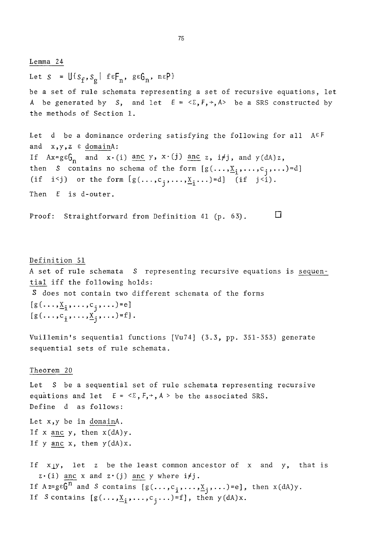Lemma 24 Let  $S = \bigcup \{s_f, s_g \mid f \in F_n, g \in G_n, n \in P\}$ be a set of rule schemata representing a set of recursive equations, let A be generated by S, and let  $E = \langle \Sigma, F, \rightarrow, A \rangle$  be a SRS constructed by the methods of Section 1. Let d be a dominance ordering satisfying the following for all  $A \in F$ and  $x, y, z \in \text{domainA}:$ If  $Ax = g \in G_n$  and  $x \cdot (i)$  and  $y \cdot x \cdot (j)$  and  $z, i \neq j$ , and  $y(dA)z$ , then S contains no schema of the form  $[g(\ldots,\underline{x}_i,\ldots,c_i,\ldots)]=d]$ (if i<j) or the form  $[g(\ldots,c_i,\ldots,\underline{X}_i,\ldots)=d]$  (if j<i). Then E is d-outer. Proof: Straightforward from Definition 41 (p. 63). **[]**  Definition 51 A set of rule schemata S representing recursive equations is sequential iff the following holds: S does not contain two different schemata of the forms  $[g(\ldots, \underline{x}_i, \ldots, c_i, \ldots)]=e]$  $[g(\ldots,c_{i},\ldots,\underline{x}_{i},\ldots)-f].$ Vuillemin's sequential functions [Vu74] (3.3, pp. 351-353) generate sequential sets of rule schemata. Theorem 20 Let S be a sequential set of rule schemata representing recursive equations and let  $E = \langle \Sigma, F, \cdot, A \rangle$  be the associated SRS. Define d as follows: Let x,y be in domainA. If  $x$  anc  $y$ , then  $x(dA)y$ . If  $y$  anc  $x$ , then  $y(dA)x$ .

If  $x|y$ , let z be the least common ancestor of x and y, that is  $z \cdot (i)$  anc x and  $z \cdot (j)$  anc y where  $i \neq j$ . If  $A z = g \varepsilon G^n$  and S contains  $[g(\ldots, c_i, \ldots, \underline{x}_j, \ldots) = e]$ , then  $x(dA)y$ . If S contains  $[g(\ldots,\underline{X}_i,\ldots,c_i,\ldots)]=f$ , then  $y(dA)x$ .

7B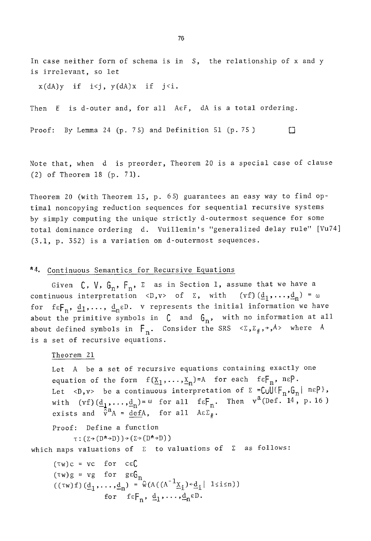In case neither form of schema is in S, the relationship of x and y is irrelevant, so let

 $x(dA)y$  if  $i < j$ ,  $y(dA)x$  if  $j < i$ .

Then E is d-outer and, for all AEF, dA is a total ordering.

Proof: By Lemma 24 (p. 75) and Definition 51 (p. 75)  $\Box$ 

Note that, when d is preorder, Theorem 20 is a special case of clause (2) of Theorem 18 (p. 71).

Theorem 20 (with Theorem 15, p.  $6-5$ ) guarantees an easy way to find optimal noncopying reduction sequences for sequential recursive systems by simply computing the unique strictly d-outermost sequence for some total dominance ordering d. Vuillemin's "generalized delay rule" [Vu74] (3.1, p. 352) is a variation on d-outermost sequences.

## '4. Continuous Semantics for Recursive Equations

Given  $C$ ,  $V$ ,  $G_n$ ,  $F_n$ ,  $\Sigma$  as in Section 1, assume that we have a continuous interpretation <D,v> of  $\Sigma$ , with (vf) $(\underline{d}_1, \ldots, \underline{d}_n) = \omega$ for  $f \in F_n$ ,  $\underline{d}_1,\ldots,$   $\underline{d}_n \in D$ . v represents the initial information we have about the primitive symbols in  $C$  and  $G_n$ , with no information at all about defined symbols in  $F_n$ . Consider the SRS  $\langle \Sigma, \Sigma_\# , \rightarrow , A \rangle$  where A is a set of recursive equations.

```
Theorem 21
```
Let A be a set of recursive equations containing exactly one equation of the form  $f(\underline{X}_1, \ldots, \underline{X}_n)=A$  for each  $f \in F_n$ ,  $n \in P$ . Let <D, v> be a continuous interpretation of  $\Sigma = \text{Coul}\{F_n, G_n | n \in P\}$ , with  $(vf)(\underline{d}_1, \ldots, \underline{d}_n) = \omega$  for all  $f \in F_n$ . Then  $v^a(\text{Def.}^n, 14, p.16)$ exists and  $\bar{\hat{v}}^a A = \text{def}A$ , for all  $A \in \Sigma_{\#}$ .

Proof: Define a function

 $\tau : (\Sigma \rightarrow (D^{\star} \rightarrow D)) \rightarrow (\Sigma \rightarrow (D^{\star} \rightarrow D))$ 

which maps valuations of  $\Sigma$  to valuations of  $\Sigma$  as follows:

 $(\tau_W)c = vc$  for c $\epsilon$ C  $(\tau w) g = v g$  for  $g \epsilon b_m$  $((\tau w)f)(d_1,\ldots,d_n) = \tilde{w}(A((A^{-1}\underline{X}_i)\leftarrow d_i | 1\leq i\leq n))$ for  $f \in F_n$ ,  $\underline{d}_1$ , ...,  $\underline{d}_n \in D$ .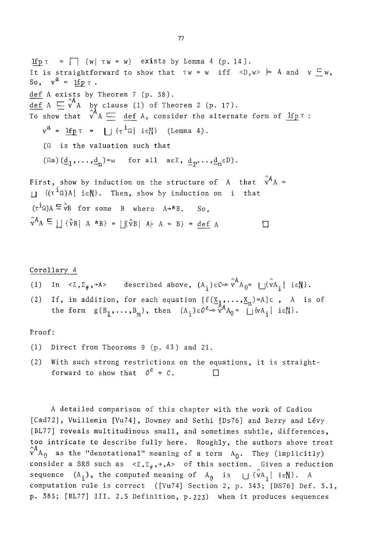$\text{If } p \tau = \Box$  {w|  $\tau w = w$ } exists by Lemma 4 (p. 14). It is straightforward to show that  $Tw = w$  iff  $\langle D, w \rangle \models A$  and  $v \subseteq w$ , So,  $v^a = \text{Ifp } \tau$ . def A exists by Theorem 7 (p. 38).  $\det A \subseteq v^A$  by clause (1) of Theorem 2 (p. 17). To show that  $v$  A  $\sqcup$  def A, consider the alternate form of  $\,\mathrm{Ifp\,T}$  :  $v^a = 1$ fp  $\tau = | \{ \tau^i \Omega | i \epsilon \} |$  (Lemma 4).  $({\Omega}$  is the valuation such that  $(\Omega a)(\underline{d}_1, \ldots, \underline{d}_n)_{\infty}$  for all  $a \in \Sigma$ ,  $\underline{d}_1, \ldots, \underline{d}_n \in D)$ . First, show by induction on the structure of A that  $\hat{v}^A A$  =  $\|\cdot\|$  { $(\tau^{\dot{1}}\Omega)$ A| i $\epsilon$ N}. Then, show by induction on i that  $(\tau^{\dot{\mathbf{i}}\Omega})A \subseteq \hat{v}B$  for some B where  $A\rightarrow*B$ .  $\hat{v}^A A \subseteq \iint \hat{v}B \mid A * B$  =  $|\hat{v}B| A+A = B$  = def A  $\square$ 

### Corollary 4

- (1) In  $\langle \Sigma, \Sigma_{\#}, \rightarrow A \rangle$  described above,  $(A_i) \in \mathbb{C} \Rightarrow \hat{v}^A A_0 = \iint \hat{v} A_i \mid i \in \mathbb{N}.$
- (2) If, in addition, for each equation  $[f(X_1,\ldots,X_n)=A]~\epsilon$  , A is of the form  $g(B_1, \ldots, B_m)$ , then  $(A_i) \in O^e \Rightarrow \tilde{v}^A A_0 = \bigsqcup \{vA_i \mid i\in \mathbb{N}\}.$

Proof:

- (i) Direct from Theoroms 9 (p. 43) and 21.
- (2) With such strong restrictions on the equations, it is straightforward to show that  $0^e = c$ .

A detailed comparison of this chapter with the work of Cadiou [Cad72], Vuillemin [Vu74], Downey and Sethi [Ds76] and Berry and Lévy [BL77] reveals multitudinous small, and sometimes subtle, differences, too intricate to describe fully here. Roughly, the authors above treat  $\hat{\mathbf{v}}^{\mathsf{A}}$ A as the "denotational" meaning of a term  $\mathbf{A_{0}}$ . They (implicitly) consider a SRS such as  $\langle \Sigma, \Sigma_{\#}, \rightarrow, A \rangle$  of this section. Given a reduction sequence  $(A_i)$ , the computed meaning of  $A_{\theta}$  is  $\bigcup \{vA_i | i\in \mathbb{N}\}\$ . A computation rule is correct ([Vu74] Section 2, p. 343; [DS76] Def. 3.1, p. 385; [BL77] III. 2.5 Definition, P.223) when it produces sequences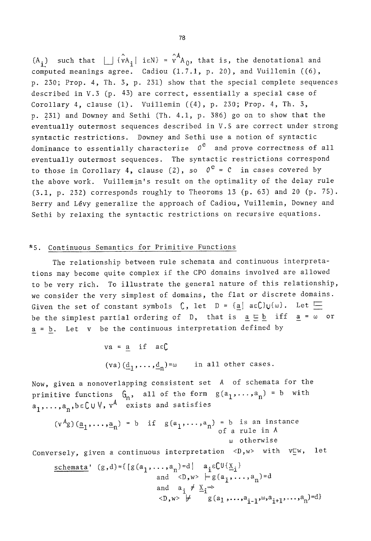$(A_i)$  such that  $\bigcup {\hat{v}A_i}$  ieN} =  $\hat{v}^A A_0$ , that is, the denotational and computed meanings agree. Cadiou (1.7.1, p. 20), and Vuillemin ((6), p. 230; Prop. 4, Th. 3, p. 231) show that the special complete sequences described in V.3 (p. 43) are correct, essentially a special case of Corollary 4, clause  $(1)$ . Vuillemin  $((4)$ , p. 230; Prop. 4, Th. 3, p. 531) and Downey and Sethi (Th. 4.1, p. 386) go on to show that the eventually outermost sequences described in V.5 are correct under strong syntactic restrictions. Downey and Sethi use a notion of syntactic dominance to essentially characterize  $0^e$  and prove correctness of all eventually outermost sequences. The syntactic restrictions correspond to those in Corollary 4, clause (2), so  $0^e = c$  in cases covered by the above work. Vuillemin's result on the optimality of the delay rule (3.1, p. 232) corresponds roughly to Theoroms 13 (p. 63) and 20 (p. 75). Berry and Lévy generalize the approach of Cadiou, Vuillemin, Downey and Sethi by relaxing the syntactic restrictions on recursive equations.

#### ~5. Continuous Semantics for Primitive Functions

The relationship between rule schemata and continuous interpretations may become quite complex if the CPO domains involved are allowed to be very rich. To illustrate the general nature of this relationship, we consider the very simplest of domains, the flat or discrete domains. Given the set of constant symbols  $C$ , let  $D = \{ \underline{a} \mid a \in C \} \cup \{\omega\}$ . Let  $\Box$ be the simplest partial ordering of D, that is  $\underline{a} \subseteq \underline{b}$  iff  $\underline{a} = \omega$  or a = b. Let v be the continuous interpretation defined by

$$
\begin{aligned}\n\text{va} &= \underline{a} \quad \text{if} \quad a \in C \\
(\text{va}) \left(\underline{d}_1, \ldots, \underline{d}_n\right) = \omega \quad \text{in all other cases.}\n\end{aligned}
$$

Now, given a nonoverlapping consistent set A of schemata for the primitive functions  $G_n$ , all of the form  $g(a_1,\ldots,a_n) = b$  with  $a_1, \ldots, a_n, b \in \mathbb{C} \cup \mathbb{V}$ ,  $v^A$  exists and satisfies

$$
(v^Ag)(\underline{a}_1, ..., \underline{a}_n) = b
$$
 if  $g(a_1, ..., a_n) = b$  is an instance  
of a rule in A  
 $\omega$  otherwise

Conversely, given a continuous interpretation  $\langle D, w \rangle$  with  $v \in W$ , let

schematic  
\n
$$
\begin{array}{ll}\n\text{schematic} & (g,d) = \{ [g(a_1, \ldots, a_n) = d] \mid a_i \in \mathbb{C} \cup \{ \underline{x}_i \} \\
& \text{and} \quad \langle D, w \rangle \models g(a_1, \ldots, a_n) = d \\
& \text{and} \quad a_i \neq \underline{X}_i \Rightarrow \\
& \langle D, w \rangle \not\models g(a_1, \ldots, a_{i-1}, \omega, a_{i+1}, \ldots, a_n) = d \}\n\end{array}
$$